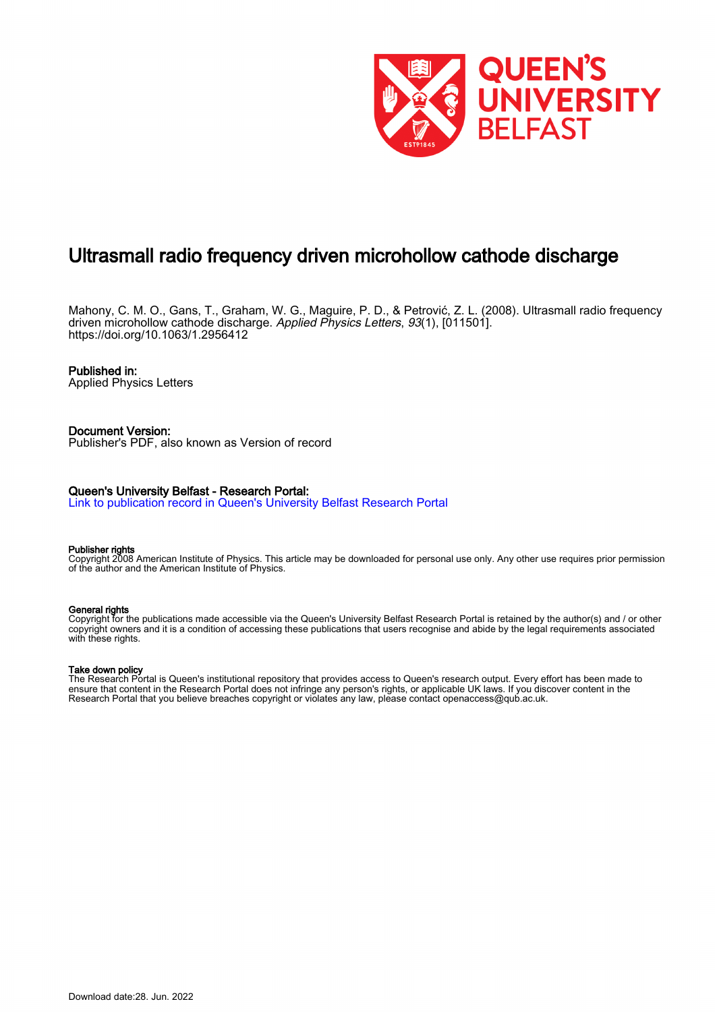

# Ultrasmall radio frequency driven microhollow cathode discharge

Mahony, C. M. O., Gans, T., Graham, W. G., Maguire, P. D., & Petrović, Z. L. (2008). Ultrasmall radio frequency driven microhollow cathode discharge. Applied Physics Letters, 93(1), [011501]. <https://doi.org/10.1063/1.2956412>

## Published in:

Applied Physics Letters

#### Document Version: Publisher's PDF, also known as Version of record

# Queen's University Belfast - Research Portal:

[Link to publication record in Queen's University Belfast Research Portal](https://pure.qub.ac.uk/en/publications/9f65ea96-7f71-41d5-953c-e02ae5127d25)

#### Publisher rights

Copyright 2008 American Institute of Physics. This article may be downloaded for personal use only. Any other use requires prior permission of the author and the American Institute of Physics.

### General rights

Copyright for the publications made accessible via the Queen's University Belfast Research Portal is retained by the author(s) and / or other copyright owners and it is a condition of accessing these publications that users recognise and abide by the legal requirements associated with these rights.

# Take down policy

The Research Portal is Queen's institutional repository that provides access to Queen's research output. Every effort has been made to ensure that content in the Research Portal does not infringe any person's rights, or applicable UK laws. If you discover content in the Research Portal that you believe breaches copyright or violates any law, please contact openaccess@qub.ac.uk.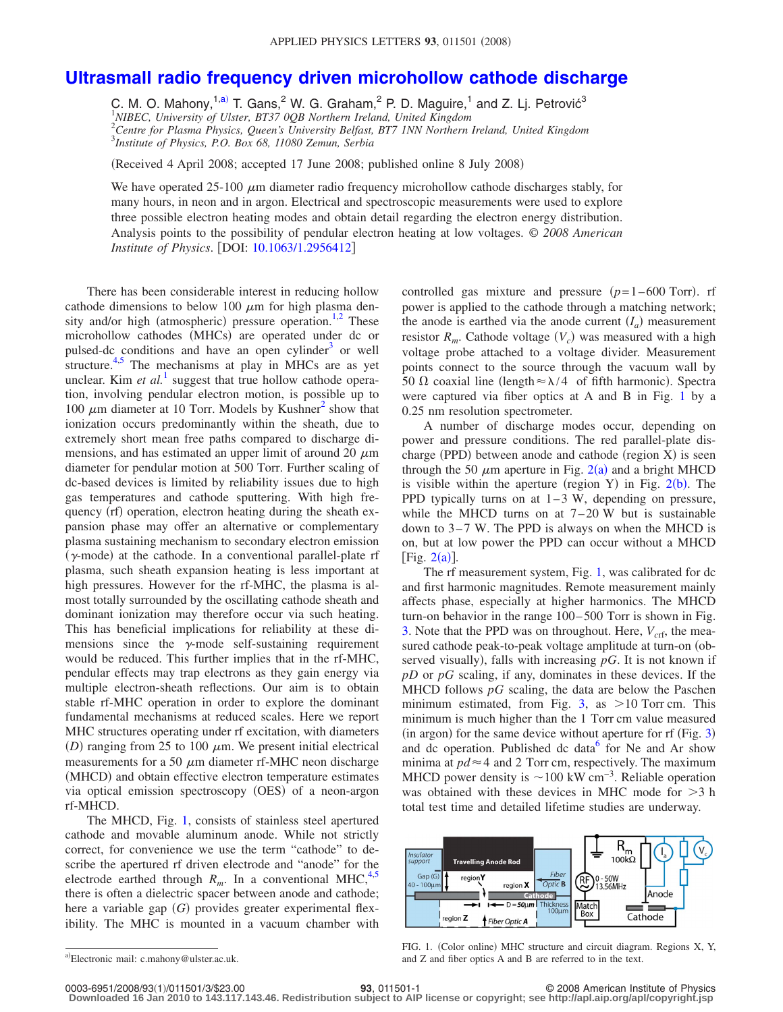# **[Ultrasmall radio frequency driven microhollow cathode discharge](http://dx.doi.org/10.1063/1.2956412)**

C. M. O. Mahony,<sup>1[,a](#page-1-0))</sup> T. Gans,<sup>2</sup> W. G. Graham,<sup>2</sup> P. D. Maguire,<sup>1</sup> and Z. Lj. Petrović<sup>3</sup> *NIBEC, University of Ulster, BT37 0QB Northern Ireland, United Kingdom Centre for Plasma Physics, Queen's University Belfast, BT7 1NN Northern Ireland, United Kingdom Institute of Physics, P.O. Box 68, 11080 Zemun, Serbia*

Received 4 April 2008; accepted 17 June 2008; published online 8 July 2008-

We have operated 25-100  $\mu$ m diameter radio frequency microhollow cathode discharges stably, for many hours, in neon and in argon. Electrical and spectroscopic measurements were used to explore three possible electron heating modes and obtain detail regarding the electron energy distribution. Analysis points to the possibility of pendular electron heating at low voltages. © *2008 American Institute of Physics.* [DOI: [10.1063/1.2956412](http://dx.doi.org/10.1063/1.2956412)]

There has been considerable interest in reducing hollow cathode dimensions to below 100  $\mu$ m for high plasma den-sity and/or high (atmospheric) pressure operation.<sup>1[,2](#page-3-1)</sup> These microhollow cathodes (MHCs) are operated under dc or pulsed-dc conditions and have an open cylinder $3$  or well structure. $4.5$  $4.5$  The mechanisms at play in MHCs are as yet unclear. Kim  $et$   $al$ <sup>[1](#page-3-0)</sup> suggest that true hollow cathode operation, involving pendular electron motion, is possible up to 100  $\mu$ m diameter at 10 Torr. Models by Kushner<sup>2</sup> show that ionization occurs predominantly within the sheath, due to extremely short mean free paths compared to discharge dimensions, and has estimated an upper limit of around 20  $\mu$ m diameter for pendular motion at 500 Torr. Further scaling of dc-based devices is limited by reliability issues due to high gas temperatures and cathode sputtering. With high frequency (rf) operation, electron heating during the sheath expansion phase may offer an alternative or complementary plasma sustaining mechanism to secondary electron emission  $(\gamma$ -mode) at the cathode. In a conventional parallel-plate rf plasma, such sheath expansion heating is less important at high pressures. However for the rf-MHC, the plasma is almost totally surrounded by the oscillating cathode sheath and dominant ionization may therefore occur via such heating. This has beneficial implications for reliability at these dimensions since the  $\gamma$ -mode self-sustaining requirement would be reduced. This further implies that in the rf-MHC, pendular effects may trap electrons as they gain energy via multiple electron-sheath reflections. Our aim is to obtain stable rf-MHC operation in order to explore the dominant fundamental mechanisms at reduced scales. Here we report MHC structures operating under rf excitation, with diameters (D) ranging from 25 to 100  $\mu$ m. We present initial electrical measurements for a 50  $\mu$ m diameter rf-MHC neon discharge (MHCD) and obtain effective electron temperature estimates via optical emission spectroscopy (OES) of a neon-argon rf-MHCD.

The MHCD, Fig. [1,](#page-1-1) consists of stainless steel apertured cathode and movable aluminum anode. While not strictly correct, for convenience we use the term "cathode" to describe the apertured rf driven electrode and "anode" for the electrode earthed through  $R_m$ . In a conventional MHC,<sup>4[,5](#page-3-3)</sup> there is often a dielectric spacer between anode and cathode; here a variable gap (G) provides greater experimental flexibility. The MHC is mounted in a vacuum chamber with

controlled gas mixture and pressure  $(p=1-600 \text{ Torr})$ . rf power is applied to the cathode through a matching network; the anode is earthed via the anode current  $(I_a)$  measurement resistor  $R_m$ . Cathode voltage  $(V_c)$  was measured with a high voltage probe attached to a voltage divider. Measurement points connect to the source through the vacuum wall by 50  $\Omega$  coaxial line (length  $\approx \lambda/4$  of fifth harmonic). Spectra were captured via fiber optics at A and B in Fig. [1](#page-1-1) by a 0.25 nm resolution spectrometer.

A number of discharge modes occur, depending on power and pressure conditions. The red parallel-plate discharge (PPD) between anode and cathode (region X) is seen through the 50  $\mu$ m aperture in Fig. [2](#page-2-0)(a) and a bright MHCD is visible within the aperture (region Y) in Fig.  $2(b)$  $2(b)$ . The PPD typically turns on at  $1-3$  W, depending on pressure, while the MHCD turns on at  $7-20$  W but is sustainable down to  $3-7$  W. The PPD is always on when the MHCD is on, but at low power the PPD can occur without a MHCD [Fig.  $2(a)$  $2(a)$ ].

The rf measurement system, Fig. [1,](#page-1-1) was calibrated for dc and first harmonic magnitudes. Remote measurement mainly affects phase, especially at higher harmonics. The MHCD turn-on behavior in the range 100–500 Torr is shown in Fig. [3.](#page-2-1) Note that the PPD was on throughout. Here,  $V_{\text{crf}}$ , the measured cathode peak-to-peak voltage amplitude at turn-on (observed visually), falls with increasing  $pG$ . It is not known if *pD* or *pG* scaling, if any, dominates in these devices. If the MHCD follows *pG* scaling, the data are below the Paschen minimum estimated, from Fig. [3,](#page-2-1) as  $>10$  Torr cm. This minimum is much higher than the 1 Torr cm value measured  $(in argon)$  for the same device without aperture for rf  $(Fig. 3)$  $(Fig. 3)$  $(Fig. 3)$ and dc operation. Published dc data $<sup>6</sup>$  for Ne and Ar show</sup> minima at  $pd \approx 4$  and 2 Torr cm, respectively. The maximum MHCD power density is  $\sim$ 100 kW cm<sup>-3</sup>. Reliable operation was obtained with these devices in MHC mode for  $>3$  h total test time and detailed lifetime studies are underway.

<span id="page-1-1"></span>

**Downloaded 16 Jan 2010 to 143.117.143.46. Redistribution subject to AIP license or copyright; see http://apl.aip.org/apl/copyright.jsp**

<span id="page-1-0"></span>a)Electronic mail: c.mahony@ulster.ac.uk.

FIG. 1. (Color online) MHC structure and circuit diagram. Regions X, Y, and Z and fiber optics A and B are referred to in the text.

**<sup>93</sup>**, 011501-1 © 2008 American Institute of Physics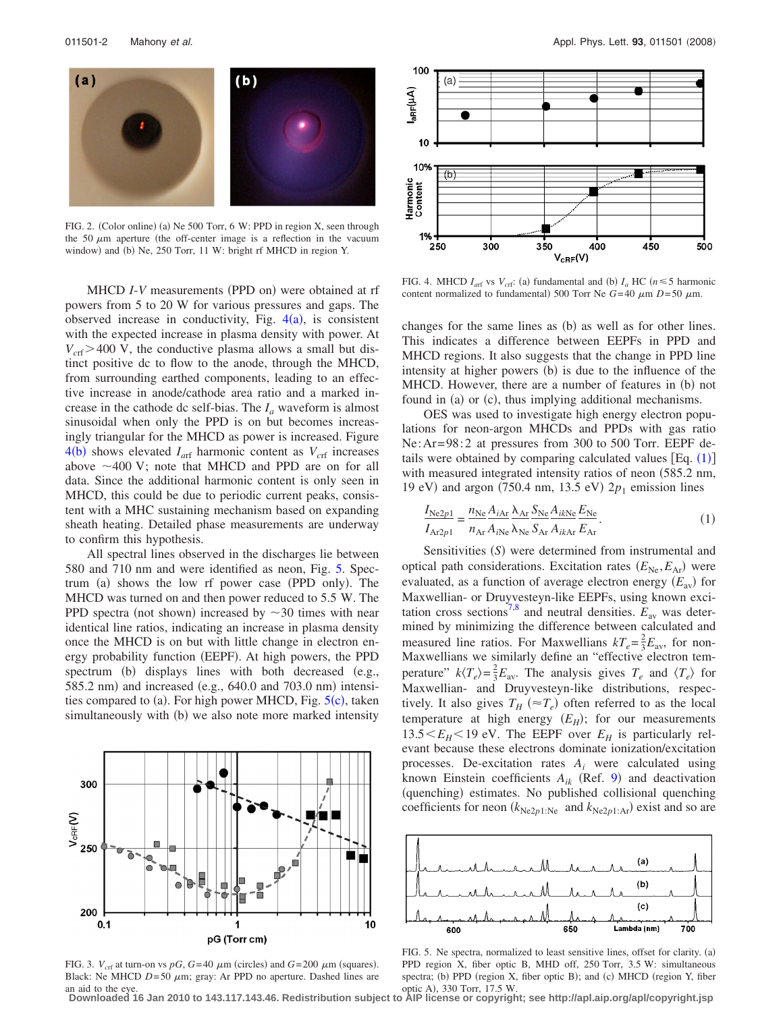<span id="page-2-0"></span>

FIG. 2. (Color online) (a) Ne 500 Torr, 6 W: PPD in region X, seen through the 50  $\mu$ m aperture (the off-center image is a reflection in the vacuum window) and (b) Ne, 250 Torr, 11 W: bright rf MHCD in region Y.

MHCD *I*-*V* measurements (PPD on) were obtained at rf powers from 5 to 20 W for various pressures and gaps. The observed increase in conductivity, Fig.  $4(a)$  $4(a)$ , is consistent with the expected increase in plasma density with power. At  $V_{\text{crf}}$  > 400 V, the conductive plasma allows a small but distinct positive dc to flow to the anode, through the MHCD, from surrounding earthed components, leading to an effective increase in anode/cathode area ratio and a marked increase in the cathode dc self-bias. The  $I_a$  waveform is almost sinusoidal when only the PPD is on but becomes increasingly triangular for the MHCD as power is increased. Figure  $4(b)$  $4(b)$  shows elevated  $I_{\text{arf}}$  harmonic content as  $V_{\text{crf}}$  increases above  $\sim$  400 V; note that MHCD and PPD are on for all data. Since the additional harmonic content is only seen in MHCD, this could be due to periodic current peaks, consistent with a MHC sustaining mechanism based on expanding sheath heating. Detailed phase measurements are underway to confirm this hypothesis.

All spectral lines observed in the discharges lie between 580 and 710 nm and were identified as neon, Fig. [5.](#page-2-3) Spectrum (a) shows the low rf power case (PPD only). The MHCD was turned on and then power reduced to 5.5 W. The PPD spectra (not shown) increased by  $\sim$  30 times with near identical line ratios, indicating an increase in plasma density once the MHCD is on but with little change in electron energy probability function (EEPF). At high powers, the PPD spectrum (b) displays lines with both decreased (e.g., 585.2 nm) and increased (e.g., 640.0 and 703.0 nm) intensi-ties compared to (a). For high power MHCD, Fig. [5](#page-2-3)(c), taken simultaneously with (b) we also note more marked intensity

<span id="page-2-1"></span>

FIG. 3.  $V_{\text{crf}}$  at turn-on vs  $pG$ ,  $G=40 \mu m$  (circles) and  $G=200 \mu m$  (squares). Black: Ne MHCD  $D=50 \mu m$ ; gray: Ar PPD no aperture. Dashed lines are an aid to the eye.

<span id="page-2-2"></span>

FIG. 4. MHCD  $I_{\text{arf}}$  vs  $V_{\text{crf}}$ : (a) fundamental and (b)  $I_a$  HC ( $n \le 5$  harmonic content normalized to fundamental) 500 Torr Ne  $G=40 \mu m D= 50 \mu m$ .

changes for the same lines as (b) as well as for other lines. This indicates a difference between EEPFs in PPD and MHCD regions. It also suggests that the change in PPD line intensity at higher powers (b) is due to the influence of the MHCD. However, there are a number of features in (b) not found in (a) or (c), thus implying additional mechanisms.

OES was used to investigate high energy electron populations for neon-argon MHCDs and PPDs with gas ratio Ne: Ar=  $98:2$  at pressures from 300 to 500 Torr. EEPF details were obtained by comparing calculated values  $[Eq. (1)]$  $[Eq. (1)]$  $[Eq. (1)]$ with measured integrated intensity ratios of neon (585.2 nm, 19 eV) and argon (750.4 nm, 13.5 eV) 2 $p_1$  emission lines

<span id="page-2-4"></span>
$$
\frac{I_{\text{Ne2}p1}}{I_{\text{Ar2}p1}} = \frac{n_{\text{Ne}}A_{i\text{Ar}}\lambda_{\text{Ar}}S_{\text{Ne}}A_{ik\text{Ne}}E_{\text{Ne}}}{n_{\text{Ar}}A_{ik\text{Ne}}\lambda_{\text{Ne}}S_{\text{Ar}}A_{ik\text{Ar}}E_{\text{Ar}}}. \tag{1}
$$

Sensitivities (S) were determined from instrumental and optical path considerations. Excitation rates  $(E_{Ne}, E_{Ar})$  were evaluated, as a function of average electron energy  $(E_{av})$  for Maxwellian- or Druyvesteyn-like EEPFs, using known exci-tation cross sections<sup>7,[8](#page-3-6)</sup> and neutral densities.  $E_{\text{av}}$  was determined by minimizing the difference between calculated and measured line ratios. For Maxwellians  $kT_e = \frac{2}{3}E_{av}$ , for non-Maxwellians we similarly define an "effective electron temperature"  $k\langle T_e \rangle = \frac{2}{3}E_{\text{av}}$ . The analysis gives  $T_e$  and  $\langle T_e \rangle$  for Maxwellian- and Druyvesteyn-like distributions, respectively. It also gives  $T_H \left( \approx T_e \right)$  often referred to as the local temperature at high energy  $(E_H)$ ; for our measurements  $13.5 \le E_H \le 19$  eV. The EEPF over  $E_H$  is particularly relevant because these electrons dominate ionization/excitation processes. De-excitation rates *Ai* were calculated using known Einstein coefficients  $A_{ik}$  (Ref. [9](#page-3-7)) and deactivation (quenching) estimates. No published collisional quenching coefficients for neon  $(k_{Ne2p1:Ne}$  and  $k_{Ne2p1:Ar}$ ) exist and so are

<span id="page-2-3"></span>

FIG. 5. Ne spectra, normalized to least sensitive lines, offset for clarity. (a) PPD region X, fiber optic B, MHD off, 250 Torr, 3.5 W: simultaneous spectra; (b) PPD (region X, fiber optic B); and (c) MHCD (region Y, fiber optic A), 330 Torr, 17.5 W.

**Downloaded 16 Jan 2010 to 143.117.143.46. Redistribution subject to AIP license or copyright; see http://apl.aip.org/apl/copyright.jsp**